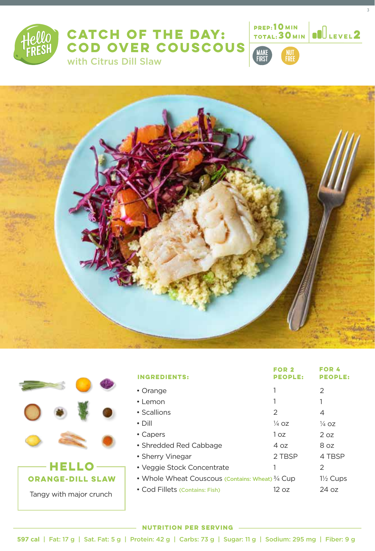

# **CATCH OF THE DAY: COD OVER COUSCOUS**  with Citrus Dill Slaw



**10**

3

**MI**LEVEL<sub>2</sub>





| <b>INGREDIENTS:</b>                                         | FOR 2<br><b>PEOPLE:</b> | FOR 4<br><b>PEOPLE:</b> |
|-------------------------------------------------------------|-------------------------|-------------------------|
| • Orange                                                    |                         | $\mathcal{P}$           |
| $\cdot$ Lemon                                               |                         | 1                       |
| • Scallions                                                 | 2                       | 4                       |
| $\cdot$ Dill                                                | $\frac{1}{4}$ OZ        | $\frac{1}{4}$ OZ        |
| • Capers                                                    | 1 oz                    | 2 oz                    |
| • Shredded Red Cabbage                                      | 4 oz                    | 8 oz                    |
| • Sherry Vinegar                                            | 2 TBSP                  | 4 TBSP                  |
| • Veggie Stock Concentrate                                  |                         | $\mathcal{P}$           |
| • Whole Wheat Couscous (Contains: Wheat) <sup>3/4</sup> Cup |                         | $1\frac{1}{2}$ Cups     |
| • Cod Fillets (Contains: Fish)                              | 12 oz                   | $24 \text{ oz}$         |
|                                                             |                         |                         |

### **NUTRITION PER SERVING**